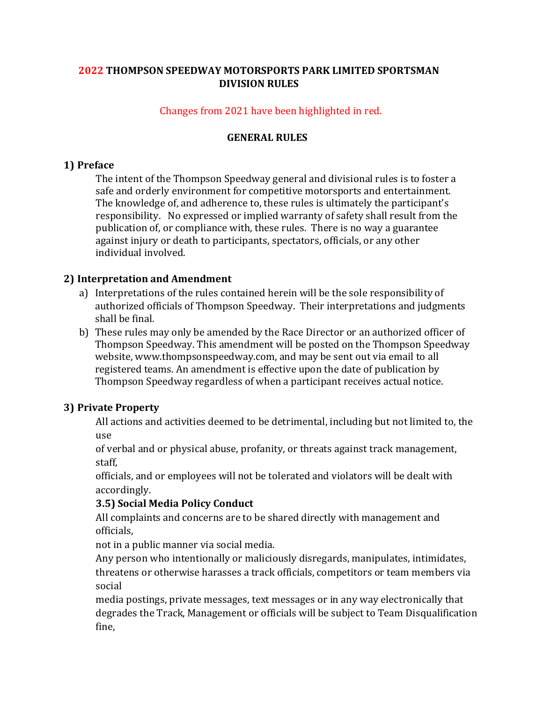# **2022 THOMPSON SPEEDWAY MOTORSPORTS PARK LIMITED SPORTSMAN DIVISION RULES**

# Changes from 2021 have been highlighted in red.

# **GENERAL RULES**

# **1) Preface**

The intent of the Thompson Speedway general and divisional rules is to foster a safe and orderly environment for competitive motorsports and entertainment. The knowledge of, and adherence to, these rules is ultimately the participant's responsibility. No expressed or implied warranty of safety shall result from the publication of, or compliance with, these rules. There is no way a guarantee against injury or death to participants, spectators, officials, or any other individual involved.

# **2) Interpretation and Amendment**

- a) Interpretations of the rules contained herein will be the sole responsibility of authorized officials of Thompson Speedway. Their interpretations and judgments shall be final.
- b) These rules may only be amended by the Race Director or an authorized officer of Thompson Speedway. This amendment will be posted on the Thompson Speedway website, www.thompsonspeedway.com, and may be sent out via email to all registered teams. An amendment is effective upon the date of publication by Thompson Speedway regardless of when a participant receives actual notice.

# **3) Private Property**

All actions and activities deemed to be detrimental, including but not limited to, the use

of verbal and or physical abuse, profanity, or threats against track management, staff,

officials, and or employees will not be tolerated and violators will be dealt with accordingly.

## **3.5) Social Media Policy Conduct**

All complaints and concerns are to be shared directly with management and officials,

not in a public manner via social media.

Any person who intentionally or maliciously disregards, manipulates, intimidates, threatens or otherwise harasses a track officials, competitors or team members via social

media postings, private messages, text messages or in any way electronically that degrades the Track, Management or officials will be subject to Team Disqualification fine,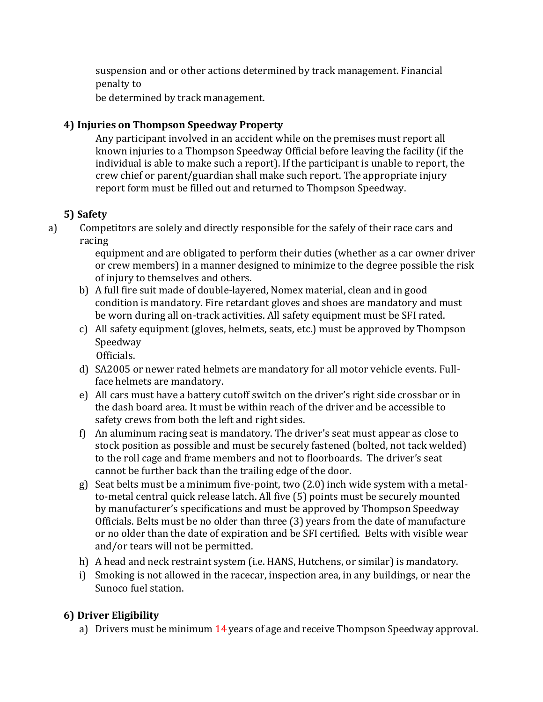suspension and or other actions determined by track management. Financial penalty to

be determined by track management.

# **4) Injuries on Thompson Speedway Property**

Any participant involved in an accident while on the premises must report all known injuries to a Thompson Speedway Official before leaving the facility (if the individual is able to make such a report). If the participant is unable to report, the crew chief or parent/guardian shall make such report. The appropriate injury report form must be filled out and returned to Thompson Speedway.

# **5) Safety**

a) Competitors are solely and directly responsible for the safely of their race cars and racing

equipment and are obligated to perform their duties (whether as a car owner driver or crew members) in a manner designed to minimize to the degree possible the risk of injury to themselves and others.

- b) A full fire suit made of double-layered, Nomex material, clean and in good condition is mandatory. Fire retardant gloves and shoes are mandatory and must be worn during all on-track activities. All safety equipment must be SFI rated.
- c) All safety equipment (gloves, helmets, seats, etc.) must be approved by Thompson Speedway Officials.
- d) SA2005 or newer rated helmets are mandatory for all motor vehicle events. Fullface helmets are mandatory.
- e) All cars must have a battery cutoff switch on the driver's right side crossbar or in the dash board area. It must be within reach of the driver and be accessible to safety crews from both the left and right sides.
- f) An aluminum racing seat is mandatory. The driver's seat must appear as close to stock position as possible and must be securely fastened (bolted, not tack welded) to the roll cage and frame members and not to floorboards. The driver's seat cannot be further back than the trailing edge of the door.
- g) Seat belts must be a minimum five-point, two (2.0) inch wide system with a metalto-metal central quick release latch. All five (5) points must be securely mounted by manufacturer's specifications and must be approved by Thompson Speedway Officials. Belts must be no older than three (3) years from the date of manufacture or no older than the date of expiration and be SFI certified. Belts with visible wear and/or tears will not be permitted.
- h) A head and neck restraint system (i.e. HANS, Hutchens, or similar) is mandatory.
- i) Smoking is not allowed in the racecar, inspection area, in any buildings, or near the Sunoco fuel station.

# **6) Driver Eligibility**

a) Drivers must be minimum 14 years of age and receive Thompson Speedway approval.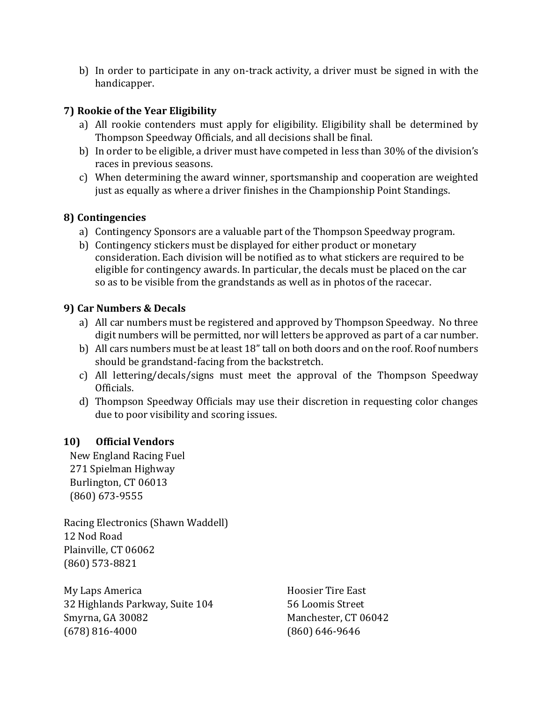b) In order to participate in any on-track activity, a driver must be signed in with the handicapper.

# **7) Rookie of the Year Eligibility**

- a) All rookie contenders must apply for eligibility. Eligibility shall be determined by Thompson Speedway Officials, and all decisions shall be final.
- b) In order to be eligible, a driver must have competed in less than 30% of the division's races in previous seasons.
- c) When determining the award winner, sportsmanship and cooperation are weighted just as equally as where a driver finishes in the Championship Point Standings.

# **8) Contingencies**

- a) Contingency Sponsors are a valuable part of the Thompson Speedway program.
- b) Contingency stickers must be displayed for either product or monetary consideration. Each division will be notified as to what stickers are required to be eligible for contingency awards. In particular, the decals must be placed on the car so as to be visible from the grandstands as well as in photos of the racecar.

# **9) Car Numbers & Decals**

- a) All car numbers must be registered and approved by Thompson Speedway. No three digit numbers will be permitted, nor will letters be approved as part of a car number.
- b) All cars numbers must be at least 18" tall on both doors and on the roof. Roof numbers should be grandstand-facing from the backstretch.
- c) All lettering/decals/signs must meet the approval of the Thompson Speedway Officials.
- d) Thompson Speedway Officials may use their discretion in requesting color changes due to poor visibility and scoring issues.

# **10) Official Vendors**

New England Racing Fuel 271 Spielman Highway Burlington, CT 06013 (860) 673-9555

Racing Electronics (Shawn Waddell) 12 Nod Road Plainville, CT 06062 (860) 573-8821

My Laps America **Hoosier Tire East** 32 Highlands Parkway, Suite 104 56 Loomis Street Smyrna, GA 30082 Manchester, CT 06042 (678) 816-4000 (860) 646-9646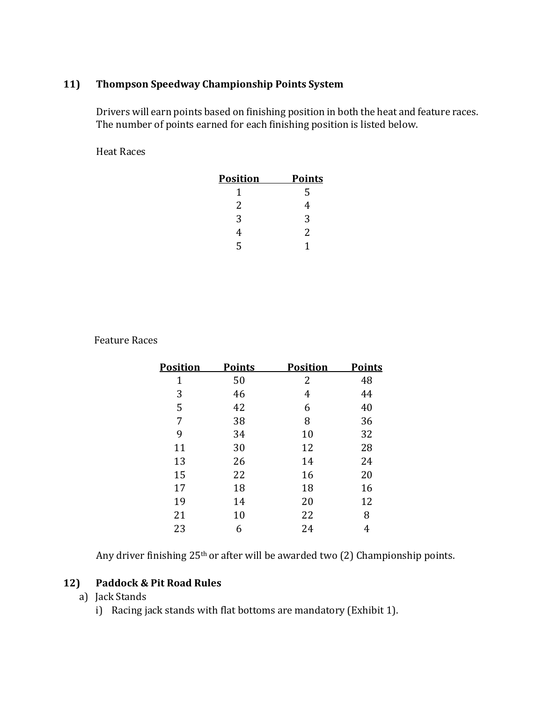# **11) Thompson Speedway Championship Points System**

Drivers will earn points based on finishing position in both the heat and feature races. The number of points earned for each finishing position is listed below.

Heat Races

| <b>Position</b> | <b>Points</b> |
|-----------------|---------------|
| 1               | 5             |
| 2               | 4             |
| 3               | 3             |
| 4               | 2             |
| ς               |               |

Feature Races

| <b>Position</b> | <b>Points</b> | <b>Position</b> | <b>Points</b> |
|-----------------|---------------|-----------------|---------------|
| 1               | 50            | 2               | 48            |
| 3               | 46            | 4               | 44            |
| 5               | 42            | 6               | 40            |
| 7               | 38            | 8               | 36            |
| 9               | 34            | 10              | 32            |
| 11              | 30            | 12              | 28            |
| 13              | 26            | 14              | 24            |
| 15              | 22            | 16              | 20            |
| 17              | 18            | 18              | 16            |
| 19              | 14            | 20              | 12            |
| 21              | 10            | 22              | 8             |
| 23              | 6             | 24              | 4             |

Any driver finishing 25<sup>th</sup> or after will be awarded two (2) Championship points.

## **12) Paddock & Pit Road Rules**

- a) Jack Stands
	- i) Racing jack stands with flat bottoms are mandatory (Exhibit 1).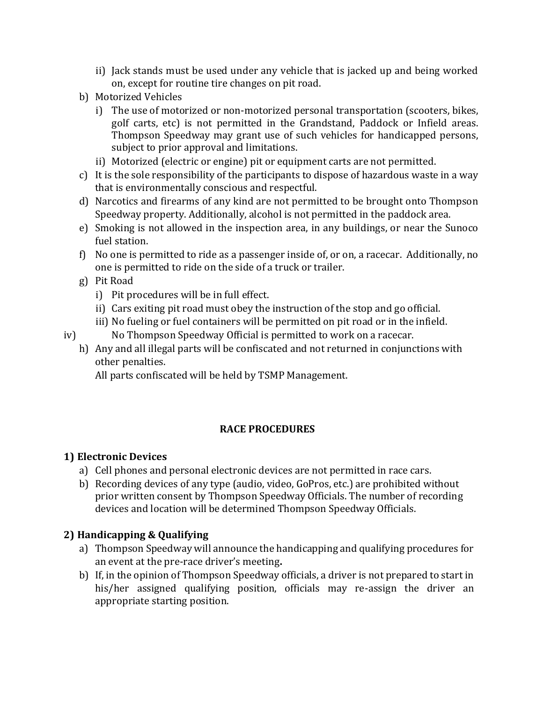- ii) Jack stands must be used under any vehicle that is jacked up and being worked on, except for routine tire changes on pit road.
- b) Motorized Vehicles
	- i) The use of motorized or non-motorized personal transportation (scooters, bikes, golf carts, etc) is not permitted in the Grandstand, Paddock or Infield areas. Thompson Speedway may grant use of such vehicles for handicapped persons, subject to prior approval and limitations.
	- ii) Motorized (electric or engine) pit or equipment carts are not permitted.
- c) It is the sole responsibility of the participants to dispose of hazardous waste in a way that is environmentally conscious and respectful.
- d) Narcotics and firearms of any kind are not permitted to be brought onto Thompson Speedway property. Additionally, alcohol is not permitted in the paddock area.
- e) Smoking is not allowed in the inspection area, in any buildings, or near the Sunoco fuel station.
- f) No one is permitted to ride as a passenger inside of, or on, a racecar. Additionally, no one is permitted to ride on the side of a truck or trailer.
- g) Pit Road
	- i) Pit procedures will be in full effect.
	- ii) Cars exiting pit road must obey the instruction of the stop and go official.
	- iii) No fueling or fuel containers will be permitted on pit road or in the infield.
- iv) No Thompson Speedway Official is permitted to work on a racecar.
	- h) Any and all illegal parts will be confiscated and not returned in conjunctions with other penalties.

All parts confiscated will be held by TSMP Management.

# **RACE PROCEDURES**

# **1) Electronic Devices**

- a) Cell phones and personal electronic devices are not permitted in race cars.
- b) Recording devices of any type (audio, video, GoPros, etc.) are prohibited without prior written consent by Thompson Speedway Officials. The number of recording devices and location will be determined Thompson Speedway Officials.

# **2) Handicapping & Qualifying**

- a) Thompson Speedway will announce the handicapping and qualifying procedures for an event at the pre-race driver's meeting**.**
- b) If, in the opinion of Thompson Speedway officials, a driver is not prepared to start in his/her assigned qualifying position, officials may re-assign the driver an appropriate starting position.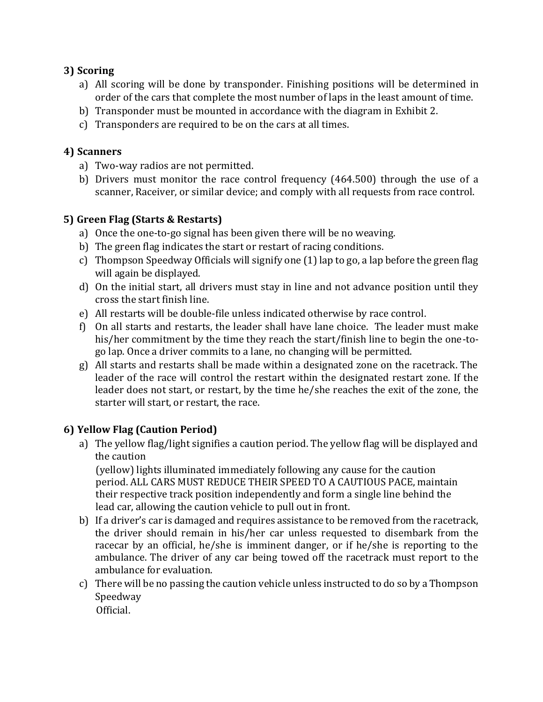# **3) Scoring**

- a) All scoring will be done by transponder. Finishing positions will be determined in order of the cars that complete the most number of laps in the least amount of time.
- b) Transponder must be mounted in accordance with the diagram in Exhibit 2.
- c) Transponders are required to be on the cars at all times.

# **4) Scanners**

- a) Two-way radios are not permitted.
- b) Drivers must monitor the race control frequency (464.500) through the use of a scanner, Raceiver, or similar device; and comply with all requests from race control.

# **5) Green Flag (Starts & Restarts)**

- a) Once the one-to-go signal has been given there will be no weaving.
- b) The green flag indicates the start or restart of racing conditions.
- c) Thompson Speedway Officials will signify one (1) lap to go, a lap before the green flag will again be displayed.
- d) On the initial start, all drivers must stay in line and not advance position until they cross the start finish line.
- e) All restarts will be double-file unless indicated otherwise by race control.
- f) On all starts and restarts, the leader shall have lane choice. The leader must make his/her commitment by the time they reach the start/finish line to begin the one-togo lap. Once a driver commits to a lane, no changing will be permitted.
- g) All starts and restarts shall be made within a designated zone on the racetrack. The leader of the race will control the restart within the designated restart zone. If the leader does not start, or restart, by the time he/she reaches the exit of the zone, the starter will start, or restart, the race.

# **6) Yellow Flag (Caution Period)**

a) The yellow flag/light signifies a caution period. The yellow flag will be displayed and the caution

(yellow) lights illuminated immediately following any cause for the caution period. ALL CARS MUST REDUCE THEIR SPEED TO A CAUTIOUS PACE, maintain their respective track position independently and form a single line behind the lead car, allowing the caution vehicle to pull out in front.

- b) If a driver's car is damaged and requires assistance to be removed from the racetrack, the driver should remain in his/her car unless requested to disembark from the racecar by an official, he/she is imminent danger, or if he/she is reporting to the ambulance. The driver of any car being towed off the racetrack must report to the ambulance for evaluation.
- c) There will be no passing the caution vehicle unless instructed to do so by a Thompson Speedway Official.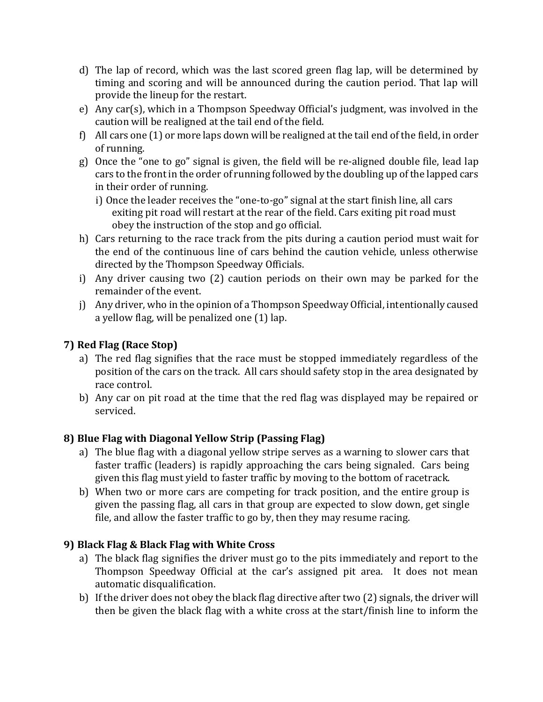- d) The lap of record, which was the last scored green flag lap, will be determined by timing and scoring and will be announced during the caution period. That lap will provide the lineup for the restart.
- e) Any car(s), which in a Thompson Speedway Official's judgment, was involved in the caution will be realigned at the tail end of the field.
- f) All cars one (1) or more laps down will be realigned at the tail end of the field, in order of running.
- g) Once the "one to go" signal is given, the field will be re-aligned double file, lead lap cars to the front in the order of running followed by the doubling up of the lapped cars in their order of running.
	- i) Once the leader receives the "one-to-go" signal at the start finish line, all cars exiting pit road will restart at the rear of the field. Cars exiting pit road must obey the instruction of the stop and go official.
- h) Cars returning to the race track from the pits during a caution period must wait for the end of the continuous line of cars behind the caution vehicle, unless otherwise directed by the Thompson Speedway Officials.
- i) Any driver causing two (2) caution periods on their own may be parked for the remainder of the event.
- j) Any driver, who in the opinion of a Thompson Speedway Official, intentionally caused a yellow flag, will be penalized one (1) lap.

# **7) Red Flag (Race Stop)**

- a) The red flag signifies that the race must be stopped immediately regardless of the position of the cars on the track. All cars should safety stop in the area designated by race control.
- b) Any car on pit road at the time that the red flag was displayed may be repaired or serviced.

# **8) Blue Flag with Diagonal Yellow Strip (Passing Flag)**

- a) The blue flag with a diagonal yellow stripe serves as a warning to slower cars that faster traffic (leaders) is rapidly approaching the cars being signaled. Cars being given this flag must yield to faster traffic by moving to the bottom of racetrack.
- b) When two or more cars are competing for track position, and the entire group is given the passing flag, all cars in that group are expected to slow down, get single file, and allow the faster traffic to go by, then they may resume racing.

# **9) Black Flag & Black Flag with White Cross**

- a) The black flag signifies the driver must go to the pits immediately and report to the Thompson Speedway Official at the car's assigned pit area. It does not mean automatic disqualification.
- b) If the driver does not obey the black flag directive after two (2) signals, the driver will then be given the black flag with a white cross at the start/finish line to inform the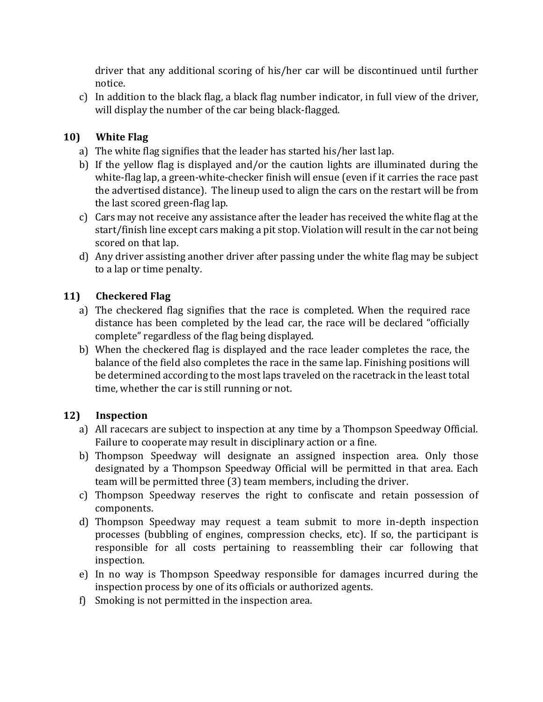driver that any additional scoring of his/her car will be discontinued until further notice.

c) In addition to the black flag, a black flag number indicator, in full view of the driver, will display the number of the car being black-flagged.

# **10) White Flag**

- a) The white flag signifies that the leader has started his/her last lap.
- b) If the yellow flag is displayed and/or the caution lights are illuminated during the white-flag lap, a green-white-checker finish will ensue (even if it carries the race past the advertised distance). The lineup used to align the cars on the restart will be from the last scored green-flag lap.
- c) Cars may not receive any assistance after the leader has received the white flag at the start/finish line except cars making a pit stop. Violation will result in the car not being scored on that lap.
- d) Any driver assisting another driver after passing under the white flag may be subject to a lap or time penalty.

# **11) Checkered Flag**

- a) The checkered flag signifies that the race is completed. When the required race distance has been completed by the lead car, the race will be declared "officially complete" regardless of the flag being displayed.
- b) When the checkered flag is displayed and the race leader completes the race, the balance of the field also completes the race in the same lap. Finishing positions will be determined according to the most laps traveled on the racetrack in the least total time, whether the car is still running or not.

# **12) Inspection**

- a) All racecars are subject to inspection at any time by a Thompson Speedway Official. Failure to cooperate may result in disciplinary action or a fine.
- b) Thompson Speedway will designate an assigned inspection area. Only those designated by a Thompson Speedway Official will be permitted in that area. Each team will be permitted three (3) team members, including the driver.
- c) Thompson Speedway reserves the right to confiscate and retain possession of components.
- d) Thompson Speedway may request a team submit to more in-depth inspection processes (bubbling of engines, compression checks, etc). If so, the participant is responsible for all costs pertaining to reassembling their car following that inspection.
- e) In no way is Thompson Speedway responsible for damages incurred during the inspection process by one of its officials or authorized agents.
- f) Smoking is not permitted in the inspection area.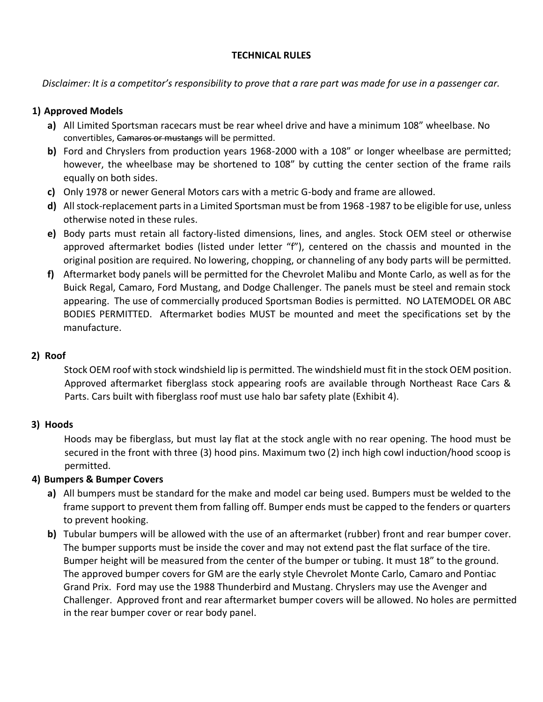#### **TECHNICAL RULES**

*Disclaimer: It is a competitor's responsibility to prove that a rare part was made for use in a passenger car.*

### **1) Approved Models**

- **a)** All Limited Sportsman racecars must be rear wheel drive and have a minimum 108" wheelbase. No convertibles, Camaros or mustangs will be permitted.
- **b)** Ford and Chryslers from production years 1968-2000 with a 108" or longer wheelbase are permitted; however, the wheelbase may be shortened to 108" by cutting the center section of the frame rails equally on both sides.
- **c)** Only 1978 or newer General Motors cars with a metric G-body and frame are allowed.
- **d)** All stock-replacement parts in a Limited Sportsman must be from 1968 -1987 to be eligible for use, unless otherwise noted in these rules.
- **e)** Body parts must retain all factory-listed dimensions, lines, and angles. Stock OEM steel or otherwise approved aftermarket bodies (listed under letter "f"), centered on the chassis and mounted in the original position are required. No lowering, chopping, or channeling of any body parts will be permitted.
- **f)** Aftermarket body panels will be permitted for the Chevrolet Malibu and Monte Carlo, as well as for the Buick Regal, Camaro, Ford Mustang, and Dodge Challenger. The panels must be steel and remain stock appearing. The use of commercially produced Sportsman Bodies is permitted. NO LATEMODEL OR ABC BODIES PERMITTED. Aftermarket bodies MUST be mounted and meet the specifications set by the manufacture.

### **2) Roof**

Stock OEM roof with stock windshield lip is permitted. The windshield must fit in the stock OEM position. Approved aftermarket fiberglass stock appearing roofs are available through Northeast Race Cars & Parts. Cars built with fiberglass roof must use halo bar safety plate (Exhibit 4).

## **3) Hoods**

Hoods may be fiberglass, but must lay flat at the stock angle with no rear opening. The hood must be secured in the front with three (3) hood pins. Maximum two (2) inch high cowl induction/hood scoop is permitted.

## **4) Bumpers & Bumper Covers**

- **a)** All bumpers must be standard for the make and model car being used. Bumpers must be welded to the frame support to prevent them from falling off. Bumper ends must be capped to the fenders or quarters to prevent hooking.
- **b)** Tubular bumpers will be allowed with the use of an aftermarket (rubber) front and rear bumper cover. The bumper supports must be inside the cover and may not extend past the flat surface of the tire. Bumper height will be measured from the center of the bumper or tubing. It must 18" to the ground. The approved bumper covers for GM are the early style Chevrolet Monte Carlo, Camaro and Pontiac Grand Prix. Ford may use the 1988 Thunderbird and Mustang. Chryslers may use the Avenger and Challenger. Approved front and rear aftermarket bumper covers will be allowed. No holes are permitted in the rear bumper cover or rear body panel.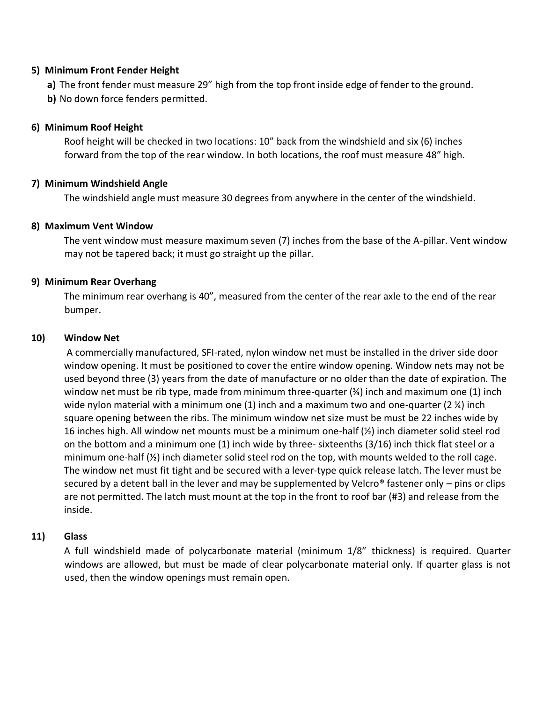#### **5) Minimum Front Fender Height**

**a)** The front fender must measure 29" high from the top front inside edge of fender to the ground.

**b)** No down force fenders permitted.

### **6) Minimum Roof Height**

Roof height will be checked in two locations: 10" back from the windshield and six (6) inches forward from the top of the rear window. In both locations, the roof must measure 48" high.

### **7) Minimum Windshield Angle**

The windshield angle must measure 30 degrees from anywhere in the center of the windshield.

#### **8) Maximum Vent Window**

The vent window must measure maximum seven (7) inches from the base of the A-pillar. Vent window may not be tapered back; it must go straight up the pillar.

### **9) Minimum Rear Overhang**

The minimum rear overhang is 40", measured from the center of the rear axle to the end of the rear bumper.

#### **10) Window Net**

A commercially manufactured, SFI-rated, nylon window net must be installed in the driver side door window opening. It must be positioned to cover the entire window opening. Window nets may not be used beyond three (3) years from the date of manufacture or no older than the date of expiration. The window net must be rib type, made from minimum three-quarter  $(\frac{3}{4})$  inch and maximum one (1) inch wide nylon material with a minimum one  $(1)$  inch and a maximum two and one-quarter  $(2 \nmid 4)$  inch square opening between the ribs. The minimum window net size must be must be 22 inches wide by 16 inches high. All window net mounts must be a minimum one-half (½) inch diameter solid steel rod on the bottom and a minimum one (1) inch wide by three- sixteenths (3/16) inch thick flat steel or a minimum one-half  $\left(\frac{1}{2}\right)$  inch diameter solid steel rod on the top, with mounts welded to the roll cage. The window net must fit tight and be secured with a lever-type quick release latch. The lever must be secured by a detent ball in the lever and may be supplemented by Velcro<sup>®</sup> fastener only – pins or clips are not permitted. The latch must mount at the top in the front to roof bar (#3) and release from the inside.

#### **11) Glass**

A full windshield made of polycarbonate material (minimum 1/8" thickness) is required. Quarter windows are allowed, but must be made of clear polycarbonate material only. If quarter glass is not used, then the window openings must remain open.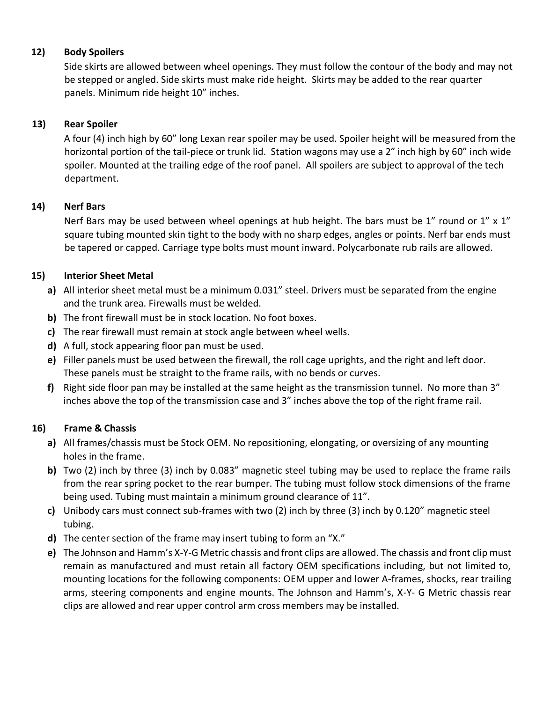## **12) Body Spoilers**

Side skirts are allowed between wheel openings. They must follow the contour of the body and may not be stepped or angled. Side skirts must make ride height. Skirts may be added to the rear quarter panels. Minimum ride height 10" inches.

### **13) Rear Spoiler**

A four (4) inch high by 60" long Lexan rear spoiler may be used. Spoiler height will be measured from the horizontal portion of the tail-piece or trunk lid. Station wagons may use a 2" inch high by 60" inch wide spoiler. Mounted at the trailing edge of the roof panel. All spoilers are subject to approval of the tech department.

### **14) Nerf Bars**

Nerf Bars may be used between wheel openings at hub height. The bars must be 1" round or 1" x 1" square tubing mounted skin tight to the body with no sharp edges, angles or points. Nerf bar ends must be tapered or capped. Carriage type bolts must mount inward. Polycarbonate rub rails are allowed.

## **15) Interior Sheet Metal**

- **a)** All interior sheet metal must be a minimum 0.031" steel. Drivers must be separated from the engine and the trunk area. Firewalls must be welded.
- **b)** The front firewall must be in stock location. No foot boxes.
- **c)** The rear firewall must remain at stock angle between wheel wells.
- **d)** A full, stock appearing floor pan must be used.
- **e)** Filler panels must be used between the firewall, the roll cage uprights, and the right and left door. These panels must be straight to the frame rails, with no bends or curves.
- **f)** Right side floor pan may be installed at the same height as the transmission tunnel. No more than 3" inches above the top of the transmission case and 3" inches above the top of the right frame rail.

## **16) Frame & Chassis**

- **a)** All frames/chassis must be Stock OEM. No repositioning, elongating, or oversizing of any mounting holes in the frame.
- **b)** Two (2) inch by three (3) inch by 0.083" magnetic steel tubing may be used to replace the frame rails from the rear spring pocket to the rear bumper. The tubing must follow stock dimensions of the frame being used. Tubing must maintain a minimum ground clearance of 11".
- **c)** Unibody cars must connect sub-frames with two (2) inch by three (3) inch by 0.120" magnetic steel tubing.
- **d)** The center section of the frame may insert tubing to form an "X."
- **e)** The Johnson and Hamm's X-Y-G Metric chassis and front clips are allowed. The chassis and front clip must remain as manufactured and must retain all factory OEM specifications including, but not limited to, mounting locations for the following components: OEM upper and lower A-frames, shocks, rear trailing arms, steering components and engine mounts. The Johnson and Hamm's, X-Y- G Metric chassis rear clips are allowed and rear upper control arm cross members may be installed.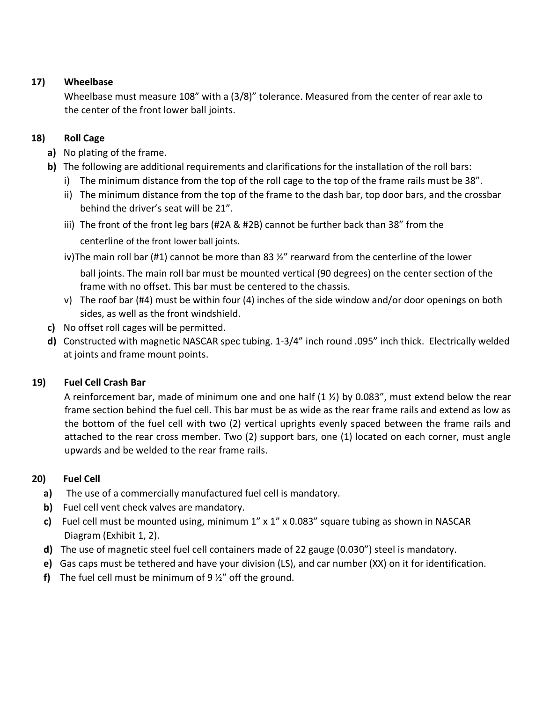## **17) Wheelbase**

Wheelbase must measure 108" with a (3/8)" tolerance. Measured from the center of rear axle to the center of the front lower ball joints.

# **18) Roll Cage**

- **a)** No plating of the frame.
- **b)** The following are additional requirements and clarifications for the installation of the roll bars:
	- i) The minimum distance from the top of the roll cage to the top of the frame rails must be 38".
	- ii) The minimum distance from the top of the frame to the dash bar, top door bars, and the crossbar behind the driver's seat will be 21".
	- iii) The front of the front leg bars (#2A & #2B) cannot be further back than 38" from the centerline of the front lower ball joints.
	- iv)The main roll bar (#1) cannot be more than 83  $\frac{1}{2}$ " rearward from the centerline of the lower

ball joints. The main roll bar must be mounted vertical (90 degrees) on the center section of the frame with no offset. This bar must be centered to the chassis.

- v) The roof bar (#4) must be within four (4) inches of the side window and/or door openings on both sides, as well as the front windshield.
- **c)** No offset roll cages will be permitted.
- **d)** Constructed with magnetic NASCAR spec tubing. 1-3/4" inch round .095" inch thick. Electrically welded at joints and frame mount points.

# **19) Fuel Cell Crash Bar**

A reinforcement bar, made of minimum one and one half  $(1 \frac{1}{2})$  by 0.083", must extend below the rear frame section behind the fuel cell. This bar must be as wide as the rear frame rails and extend as low as the bottom of the fuel cell with two (2) vertical uprights evenly spaced between the frame rails and attached to the rear cross member. Two (2) support bars, one (1) located on each corner, must angle upwards and be welded to the rear frame rails.

# **20) Fuel Cell**

- **a)** The use of a commercially manufactured fuel cell is mandatory.
- **b)** Fuel cell vent check valves are mandatory.
- **c)** Fuel cell must be mounted using, minimum 1" x 1" x 0.083" square tubing as shown in NASCAR Diagram (Exhibit 1, 2).
- **d)** The use of magnetic steel fuel cell containers made of 22 gauge (0.030") steel is mandatory.
- **e)** Gas caps must be tethered and have your division (LS), and car number (XX) on it for identification.
- **f)** The fuel cell must be minimum of 9 ½" off the ground.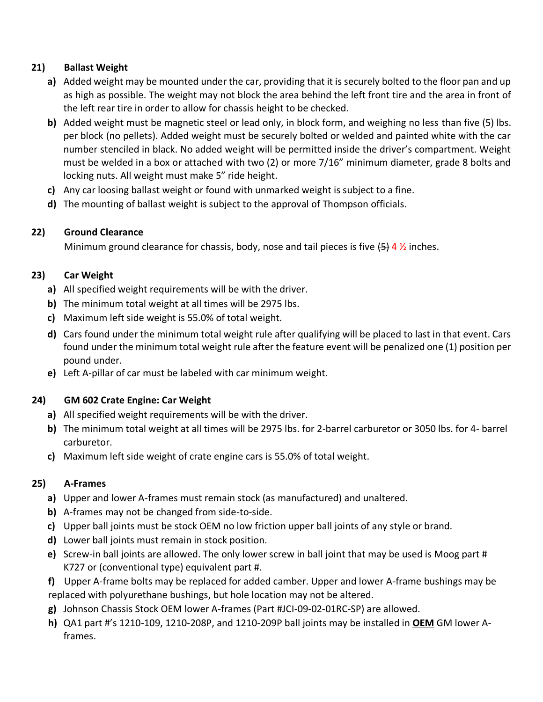# **21) Ballast Weight**

- **a)** Added weight may be mounted under the car, providing that it is securely bolted to the floor pan and up as high as possible. The weight may not block the area behind the left front tire and the area in front of the left rear tire in order to allow for chassis height to be checked.
- **b)** Added weight must be magnetic steel or lead only, in block form, and weighing no less than five (5) lbs. per block (no pellets). Added weight must be securely bolted or welded and painted white with the car number stenciled in black. No added weight will be permitted inside the driver's compartment. Weight must be welded in a box or attached with two (2) or more 7/16" minimum diameter, grade 8 bolts and locking nuts. All weight must make 5" ride height.
- **c)** Any car loosing ballast weight or found with unmarked weight is subject to a fine.
- **d)** The mounting of ballast weight is subject to the approval of Thompson officials.

# **22) Ground Clearance**

Minimum ground clearance for chassis, body, nose and tail pieces is five  $\left\{4\right\}$  4  $\%$  inches.

# **23) Car Weight**

- **a)** All specified weight requirements will be with the driver.
- **b)** The minimum total weight at all times will be 2975 lbs.
- **c)** Maximum left side weight is 55.0% of total weight.
- **d)** Cars found under the minimum total weight rule after qualifying will be placed to last in that event. Cars found under the minimum total weight rule after the feature event will be penalized one (1) position per pound under.
- **e)** Left A-pillar of car must be labeled with car minimum weight.

## **24) GM 602 Crate Engine: Car Weight**

- **a)** All specified weight requirements will be with the driver.
- **b)** The minimum total weight at all times will be 2975 lbs. for 2-barrel carburetor or 3050 lbs. for 4- barrel carburetor.
- **c)** Maximum left side weight of crate engine cars is 55.0% of total weight.

# **25) A-Frames**

- **a)** Upper and lower A-frames must remain stock (as manufactured) and unaltered.
- **b)** A-frames may not be changed from side-to-side.
- **c)** Upper ball joints must be stock OEM no low friction upper ball joints of any style or brand.
- **d)** Lower ball joints must remain in stock position.
- **e)** Screw-in ball joints are allowed. The only lower screw in ball joint that may be used is Moog part # K727 or (conventional type) equivalent part #.
- **f)** Upper A-frame bolts may be replaced for added camber. Upper and lower A-frame bushings may be replaced with polyurethane bushings, but hole location may not be altered.
- **g)** Johnson Chassis Stock OEM lower A-frames (Part #JCI-09-02-01RC-SP) are allowed.
- **h)** QA1 part #'s 1210-109, 1210-208P, and 1210-209P ball joints may be installed in **OEM** GM lower Aframes.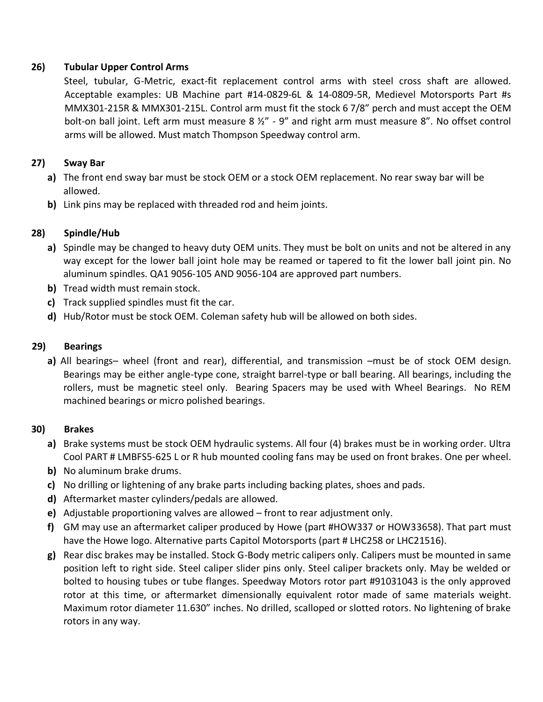### **26) Tubular Upper Control Arms**

Steel, tubular, G-Metric, exact-fit replacement control arms with steel cross shaft are allowed. Acceptable examples: UB Machine part #14-0829-6L & 14-0809-5R, Medievel Motorsports Part #s MMX301-215R & MMX301-215L. Control arm must fit the stock 6 7/8" perch and must accept the OEM bolt-on ball joint. Left arm must measure 8 ½" - 9" and right arm must measure 8". No offset control arms will be allowed. Must match Thompson Speedway control arm.

### **27) Sway Bar**

- **a)** The front end sway bar must be stock OEM or a stock OEM replacement. No rear sway bar will be allowed.
- **b)** Link pins may be replaced with threaded rod and heim joints.

## **28) Spindle/Hub**

- **a)** Spindle may be changed to heavy duty OEM units. They must be bolt on units and not be altered in any way except for the lower ball joint hole may be reamed or tapered to fit the lower ball joint pin. No aluminum spindles. QA1 9056-105 AND 9056-104 are approved part numbers.
- **b)** Tread width must remain stock.
- **c)** Track supplied spindles must fit the car.
- **d)** Hub/Rotor must be stock OEM. Coleman safety hub will be allowed on both sides.

### **29) Bearings**

**a)** All bearings– wheel (front and rear), differential, and transmission –must be of stock OEM design. Bearings may be either angle-type cone, straight barrel-type or ball bearing. All bearings, including the rollers, must be magnetic steel only. Bearing Spacers may be used with Wheel Bearings. No REM machined bearings or micro polished bearings.

#### **30) Brakes**

- **a)** Brake systems must be stock OEM hydraulic systems. All four (4) brakes must be in working order. Ultra Cool PART # LMBFS5-625 L or R hub mounted cooling fans may be used on front brakes. One per wheel.
- **b)** No aluminum brake drums.
- **c)** No drilling or lightening of any brake parts including backing plates, shoes and pads.
- **d)** Aftermarket master cylinders/pedals are allowed.
- **e)** Adjustable proportioning valves are allowed front to rear adjustment only.
- **f)** GM may use an aftermarket caliper produced by Howe (part #HOW337 or HOW33658). That part must have the Howe logo. Alternative parts Capitol Motorsports (part # LHC258 or LHC21516).
- **g)** Rear disc brakes may be installed. Stock G-Body metric calipers only. Calipers must be mounted in same position left to right side. Steel caliper slider pins only. Steel caliper brackets only. May be welded or bolted to housing tubes or tube flanges. Speedway Motors rotor part #91031043 is the only approved rotor at this time, or aftermarket dimensionally equivalent rotor made of same materials weight. Maximum rotor diameter 11.630" inches. No drilled, scalloped or slotted rotors. No lightening of brake rotors in any way.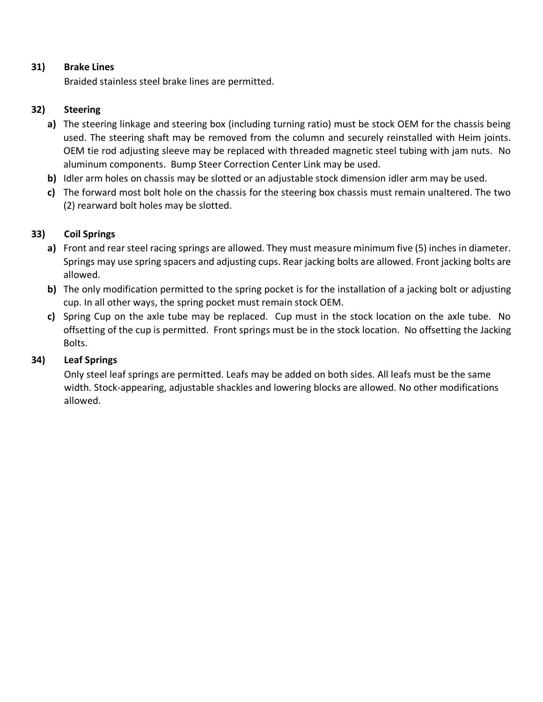### **31) Brake Lines**

Braided stainless steel brake lines are permitted.

### **32) Steering**

- **a)** The steering linkage and steering box (including turning ratio) must be stock OEM for the chassis being used. The steering shaft may be removed from the column and securely reinstalled with Heim joints. OEM tie rod adjusting sleeve may be replaced with threaded magnetic steel tubing with jam nuts. No aluminum components. Bump Steer Correction Center Link may be used.
- **b)** Idler arm holes on chassis may be slotted or an adjustable stock dimension idler arm may be used.
- **c)** The forward most bolt hole on the chassis for the steering box chassis must remain unaltered. The two (2) rearward bolt holes may be slotted.

## **33) Coil Springs**

- **a)** Front and rear steel racing springs are allowed. They must measure minimum five (5) inches in diameter. Springs may use spring spacers and adjusting cups. Rear jacking bolts are allowed. Front jacking bolts are allowed.
- **b)** The only modification permitted to the spring pocket is for the installation of a jacking bolt or adjusting cup. In all other ways, the spring pocket must remain stock OEM.
- **c)** Spring Cup on the axle tube may be replaced. Cup must in the stock location on the axle tube. No offsetting of the cup is permitted. Front springs must be in the stock location. No offsetting the Jacking Bolts.

## **34) Leaf Springs**

Only steel leaf springs are permitted. Leafs may be added on both sides. All leafs must be the same width. Stock-appearing, adjustable shackles and lowering blocks are allowed. No other modifications allowed.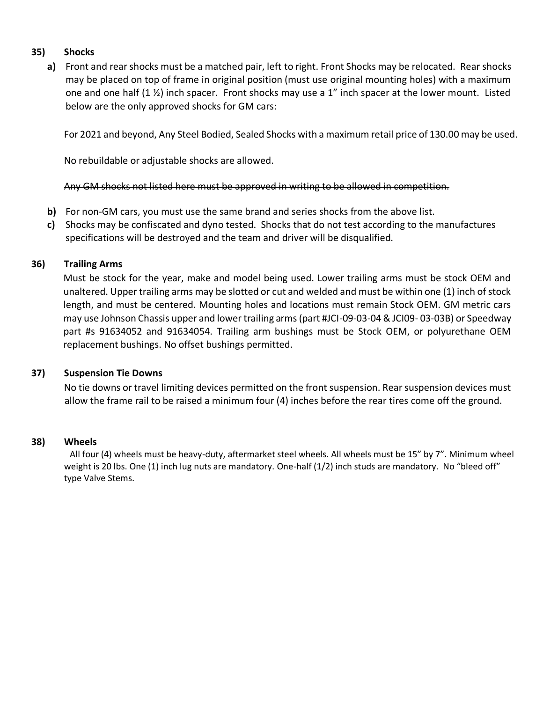### **35) Shocks**

**a)** Front and rear shocks must be a matched pair, left to right. Front Shocks may be relocated. Rear shocks may be placed on top of frame in original position (must use original mounting holes) with a maximum one and one half (1 ½) inch spacer. Front shocks may use a 1" inch spacer at the lower mount. Listed below are the only approved shocks for GM cars:

For 2021 and beyond, Any Steel Bodied, Sealed Shocks with a maximum retail price of 130.00 may be used.

No rebuildable or adjustable shocks are allowed.

#### Any GM shocks not listed here must be approved in writing to be allowed in competition.

- **b)** For non-GM cars, you must use the same brand and series shocks from the above list.
- **c)** Shocks may be confiscated and dyno tested. Shocks that do not test according to the manufactures specifications will be destroyed and the team and driver will be disqualified.

#### **36) Trailing Arms**

Must be stock for the year, make and model being used. Lower trailing arms must be stock OEM and unaltered. Upper trailing arms may be slotted or cut and welded and must be within one (1) inch of stock length, and must be centered. Mounting holes and locations must remain Stock OEM. GM metric cars may use Johnson Chassis upper and lower trailing arms (part #JCI-09-03-04 & JCI09- 03-03B) or Speedway part #s 91634052 and 91634054. Trailing arm bushings must be Stock OEM, or polyurethane OEM replacement bushings. No offset bushings permitted.

#### **37) Suspension Tie Downs**

No tie downs or travel limiting devices permitted on the front suspension. Rear suspension devices must allow the frame rail to be raised a minimum four (4) inches before the rear tires come off the ground.

#### **38) Wheels**

All four (4) wheels must be heavy-duty, aftermarket steel wheels. All wheels must be 15" by 7". Minimum wheel weight is 20 lbs. One (1) inch lug nuts are mandatory. One-half (1/2) inch studs are mandatory. No "bleed off" type Valve Stems.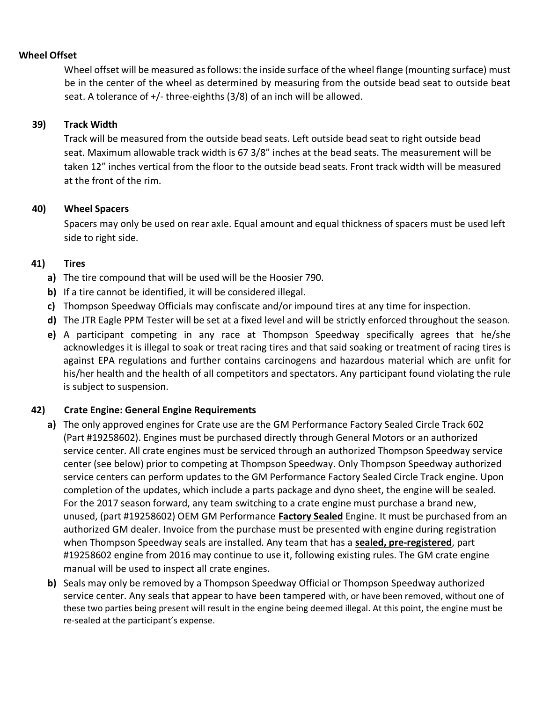### **Wheel Offset**

Wheel offset will be measured as follows: the inside surface of the wheel flange (mounting surface) must be in the center of the wheel as determined by measuring from the outside bead seat to outside beat seat. A tolerance of  $+/-$  three-eighths (3/8) of an inch will be allowed.

### **39) Track Width**

Track will be measured from the outside bead seats. Left outside bead seat to right outside bead seat. Maximum allowable track width is 67 3/8" inches at the bead seats. The measurement will be taken 12" inches vertical from the floor to the outside bead seats. Front track width will be measured at the front of the rim.

### **40) Wheel Spacers**

Spacers may only be used on rear axle. Equal amount and equal thickness of spacers must be used left side to right side.

### **41) Tires**

- **a)** The tire compound that will be used will be the Hoosier 790.
- **b)** If a tire cannot be identified, it will be considered illegal.
- **c)** Thompson Speedway Officials may confiscate and/or impound tires at any time for inspection.
- **d)** The JTR Eagle PPM Tester will be set at a fixed level and will be strictly enforced throughout the season.
- **e)** A participant competing in any race at Thompson Speedway specifically agrees that he/she acknowledges it is illegal to soak or treat racing tires and that said soaking or treatment of racing tires is against EPA regulations and further contains carcinogens and hazardous material which are unfit for his/her health and the health of all competitors and spectators. Any participant found violating the rule is subject to suspension.

#### **42) Crate Engine: General Engine Requirements**

- **a)** The only approved engines for Crate use are the GM Performance Factory Sealed Circle Track 602 (Part #19258602). Engines must be purchased directly through General Motors or an authorized service center. All crate engines must be serviced through an authorized Thompson Speedway service center (see below) prior to competing at Thompson Speedway. Only Thompson Speedway authorized service centers can perform updates to the GM Performance Factory Sealed Circle Track engine. Upon completion of the updates, which include a parts package and dyno sheet, the engine will be sealed. For the 2017 season forward, any team switching to a crate engine must purchase a brand new, unused, (part #19258602) OEM GM Performance **Factory Sealed** Engine. It must be purchased from an authorized GM dealer. Invoice from the purchase must be presented with engine during registration when Thompson Speedway seals are installed. Any team that has a **sealed, pre-registered**, part #19258602 engine from 2016 may continue to use it, following existing rules. The GM crate engine manual will be used to inspect all crate engines.
- **b)** Seals may only be removed by a Thompson Speedway Official or Thompson Speedway authorized service center. Any seals that appear to have been tampered with, or have been removed, without one of these two parties being present will result in the engine being deemed illegal. At this point, the engine must be re-sealed at the participant's expense.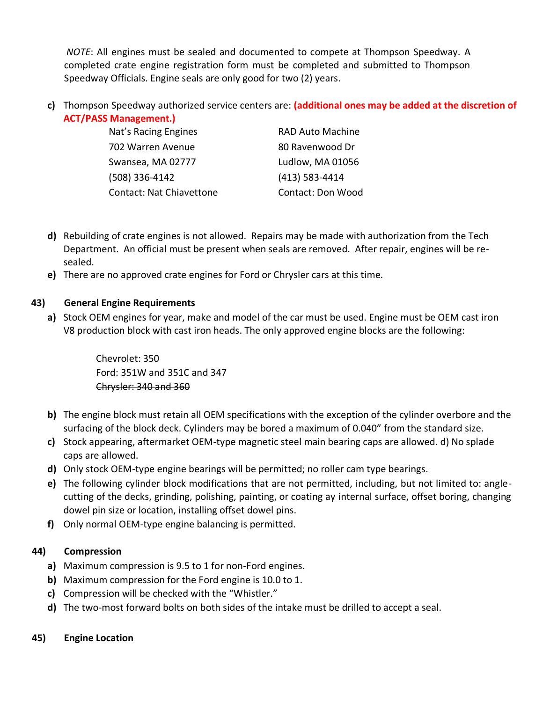*NOTE*: All engines must be sealed and documented to compete at Thompson Speedway. A completed crate engine registration form must be completed and submitted to Thompson Speedway Officials. Engine seals are only good for two (2) years.

**c)** Thompson Speedway authorized service centers are: **(additional ones may be added at the discretion of ACT/PASS Management.)**

| Nat's Racing Engines            | <b>RAD Auto Machine</b>  |
|---------------------------------|--------------------------|
| 702 Warren Avenue               | 80 Ravenwood Dr          |
| Swansea, MA 02777               | Ludlow, MA 01056         |
| (508) 336-4142                  | $(413)$ 583-4414         |
| <b>Contact: Nat Chiavettone</b> | <b>Contact: Don Wood</b> |

- **d)** Rebuilding of crate engines is not allowed. Repairs may be made with authorization from the Tech Department. An official must be present when seals are removed. After repair, engines will be resealed.
- **e)** There are no approved crate engines for Ford or Chrysler cars at this time.

# **43) General Engine Requirements**

**a)** Stock OEM engines for year, make and model of the car must be used. Engine must be OEM cast iron V8 production block with cast iron heads. The only approved engine blocks are the following:

> Chevrolet: 350 Ford: 351W and 351C and 347 Chrysler: 340 and 360

- **b)** The engine block must retain all OEM specifications with the exception of the cylinder overbore and the surfacing of the block deck. Cylinders may be bored a maximum of 0.040" from the standard size.
- **c)** Stock appearing, aftermarket OEM-type magnetic steel main bearing caps are allowed. d) No splade caps are allowed.
- **d)** Only stock OEM-type engine bearings will be permitted; no roller cam type bearings.
- **e)** The following cylinder block modifications that are not permitted, including, but not limited to: anglecutting of the decks, grinding, polishing, painting, or coating ay internal surface, offset boring, changing dowel pin size or location, installing offset dowel pins.
- **f)** Only normal OEM-type engine balancing is permitted.

# **44) Compression**

- **a)** Maximum compression is 9.5 to 1 for non-Ford engines.
- **b)** Maximum compression for the Ford engine is 10.0 to 1.
- **c)** Compression will be checked with the "Whistler."
- **d)** The two-most forward bolts on both sides of the intake must be drilled to accept a seal.

# **45) Engine Location**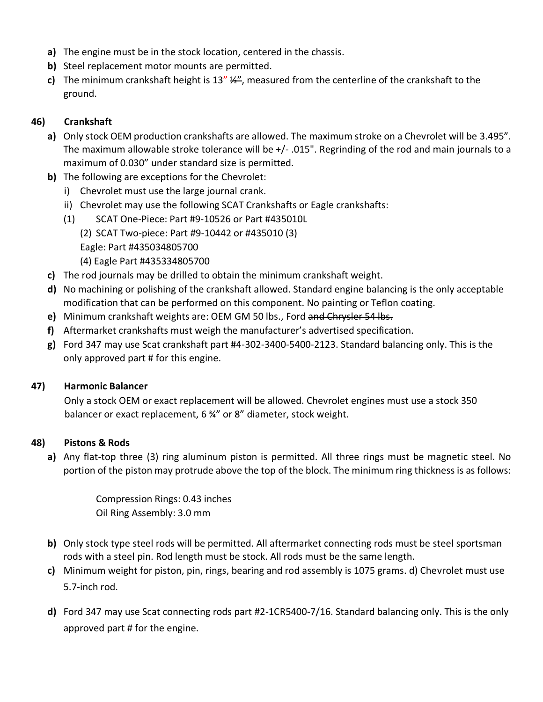- **a)** The engine must be in the stock location, centered in the chassis.
- **b)** Steel replacement motor mounts are permitted.
- **c)** The minimum crankshaft height is 13" ½", measured from the centerline of the crankshaft to the ground.

# **46) Crankshaft**

- **a)** Only stock OEM production crankshafts are allowed. The maximum stroke on a Chevrolet will be 3.495". The maximum allowable stroke tolerance will be +/- .015". Regrinding of the rod and main journals to a maximum of 0.030" under standard size is permitted.
- **b)** The following are exceptions for the Chevrolet:
	- i) Chevrolet must use the large journal crank.
	- ii) Chevrolet may use the following SCAT Crankshafts or Eagle crankshafts:
	- (1) SCAT One-Piece: Part #9-10526 or Part #435010L (2) SCAT Two-piece: Part #9-10442 or #435010 (3) Eagle: Part #435034805700 (4) Eagle Part #435334805700
- **c)** The rod journals may be drilled to obtain the minimum crankshaft weight.
- **d)** No machining or polishing of the crankshaft allowed. Standard engine balancing is the only acceptable modification that can be performed on this component. No painting or Teflon coating.
- **e)** Minimum crankshaft weights are: OEM GM 50 lbs., Ford and Chrysler 54 lbs.
- **f)** Aftermarket crankshafts must weigh the manufacturer's advertised specification.
- **g)** Ford 347 may use Scat crankshaft part #4-302-3400-5400-2123. Standard balancing only. This is the only approved part # for this engine.

## **47) Harmonic Balancer**

Only a stock OEM or exact replacement will be allowed. Chevrolet engines must use a stock 350 balancer or exact replacement, 6 34" or 8" diameter, stock weight.

## **48) Pistons & Rods**

**a)** Any flat-top three (3) ring aluminum piston is permitted. All three rings must be magnetic steel. No portion of the piston may protrude above the top of the block. The minimum ring thickness is as follows:

> Compression Rings: 0.43 inches Oil Ring Assembly: 3.0 mm

- **b)** Only stock type steel rods will be permitted. All aftermarket connecting rods must be steel sportsman rods with a steel pin. Rod length must be stock. All rods must be the same length.
- **c)** Minimum weight for piston, pin, rings, bearing and rod assembly is 1075 grams. d) Chevrolet must use 5.7-inch rod.
- **d)** Ford 347 may use Scat connecting rods part #2-1CR5400-7/16. Standard balancing only. This is the only approved part # for the engine.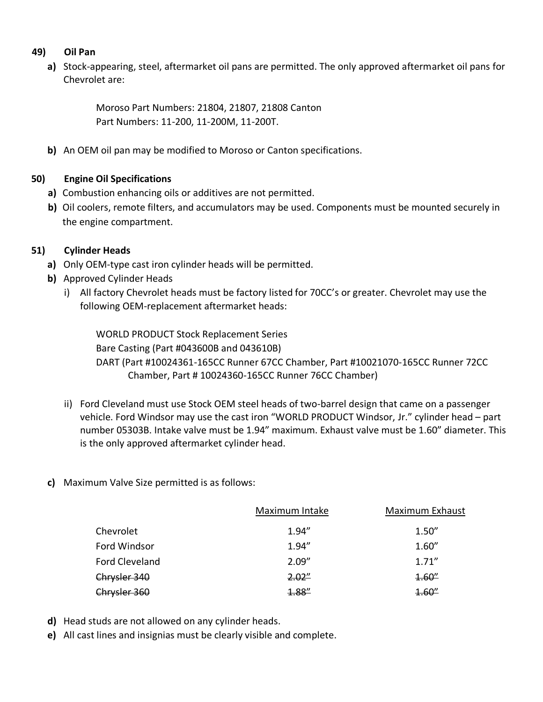### **49) Oil Pan**

**a)** Stock-appearing, steel, aftermarket oil pans are permitted. The only approved aftermarket oil pans for Chevrolet are:

> Moroso Part Numbers: 21804, 21807, 21808 Canton Part Numbers: 11-200, 11-200M, 11-200T.

**b)** An OEM oil pan may be modified to Moroso or Canton specifications.

## **50) Engine Oil Specifications**

- **a)** Combustion enhancing oils or additives are not permitted.
- **b)** Oil coolers, remote filters, and accumulators may be used. Components must be mounted securely in the engine compartment.

## **51) Cylinder Heads**

- **a)** Only OEM-type cast iron cylinder heads will be permitted.
- **b)** Approved Cylinder Heads
	- i) All factory Chevrolet heads must be factory listed for 70CC's or greater. Chevrolet may use the following OEM-replacement aftermarket heads:

WORLD PRODUCT Stock Replacement Series Bare Casting (Part #043600B and 043610B) DART (Part #10024361-165CC Runner 67CC Chamber, Part #10021070-165CC Runner 72CC Chamber, Part # 10024360-165CC Runner 76CC Chamber)

- ii) Ford Cleveland must use Stock OEM steel heads of two-barrel design that came on a passenger vehicle. Ford Windsor may use the cast iron "WORLD PRODUCT Windsor, Jr." cylinder head – part number 05303B. Intake valve must be 1.94" maximum. Exhaust valve must be 1.60" diameter. This is the only approved aftermarket cylinder head.
- **c)** Maximum Valve Size permitted is as follows:

|                | Maximum Intake | <b>Maximum Exhaust</b> |
|----------------|----------------|------------------------|
| Chevrolet      | 1.94''         | 1.50''                 |
| Ford Windsor   | 1.94''         | 1.60''                 |
| Ford Cleveland | 2.09''         | 1.71''                 |
| Chrysler 340   | 2.02"          | 4.60''                 |
| Chrysler 360   | 4.88''         | 4.60''                 |

- **d)** Head studs are not allowed on any cylinder heads.
- **e)** All cast lines and insignias must be clearly visible and complete.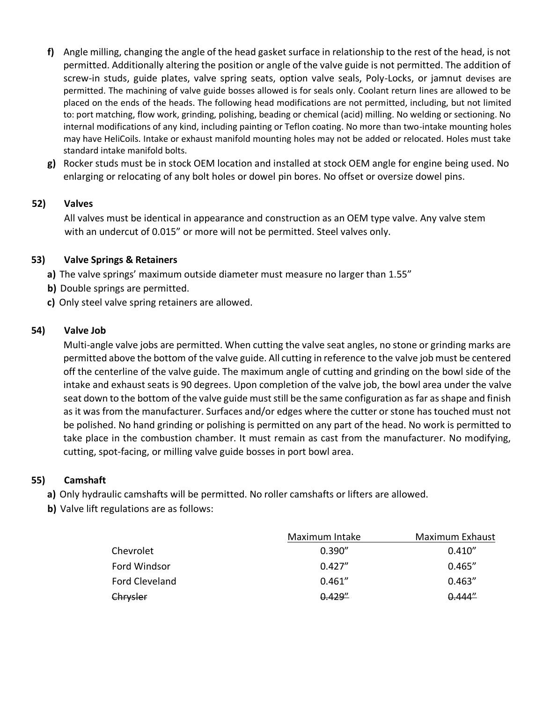- **f)** Angle milling, changing the angle of the head gasket surface in relationship to the rest of the head, is not permitted. Additionally altering the position or angle of the valve guide is not permitted. The addition of screw-in studs, guide plates, valve spring seats, option valve seals, Poly-Locks, or jamnut devises are permitted. The machining of valve guide bosses allowed is for seals only. Coolant return lines are allowed to be placed on the ends of the heads. The following head modifications are not permitted, including, but not limited to: port matching, flow work, grinding, polishing, beading or chemical (acid) milling. No welding or sectioning. No internal modifications of any kind, including painting or Teflon coating. No more than two-intake mounting holes may have HeliCoils. Intake or exhaust manifold mounting holes may not be added or relocated. Holes must take standard intake manifold bolts.
- **g)** Rocker studs must be in stock OEM location and installed at stock OEM angle for engine being used. No enlarging or relocating of any bolt holes or dowel pin bores. No offset or oversize dowel pins.

## **52) Valves**

All valves must be identical in appearance and construction as an OEM type valve. Any valve stem with an undercut of 0.015" or more will not be permitted. Steel valves only.

## **53) Valve Springs & Retainers**

**a)** The valve springs' maximum outside diameter must measure no larger than 1.55"

- **b)** Double springs are permitted.
- **c)** Only steel valve spring retainers are allowed.

## **54) Valve Job**

Multi-angle valve jobs are permitted. When cutting the valve seat angles, no stone or grinding marks are permitted above the bottom of the valve guide. All cutting in reference to the valve job must be centered off the centerline of the valve guide. The maximum angle of cutting and grinding on the bowl side of the intake and exhaust seats is 90 degrees. Upon completion of the valve job, the bowl area under the valve seat down to the bottom of the valve guide must still be the same configuration as far as shape and finish as it was from the manufacturer. Surfaces and/or edges where the cutter or stone has touched must not be polished. No hand grinding or polishing is permitted on any part of the head. No work is permitted to take place in the combustion chamber. It must remain as cast from the manufacturer. No modifying, cutting, spot-facing, or milling valve guide bosses in port bowl area.

# **55) Camshaft**

**a)** Only hydraulic camshafts will be permitted. No roller camshafts or lifters are allowed.

**b)** Valve lift regulations are as follows:

|                | Maximum Intake | Maximum Exhaust |
|----------------|----------------|-----------------|
| Chevrolet      | 0.390''        | 0.410''         |
| Ford Windsor   | 0.427''        | 0.465''         |
| Ford Cleveland | 0.461''        | 0.463''         |
| Chrysler       | 0.429''        | 0.444''         |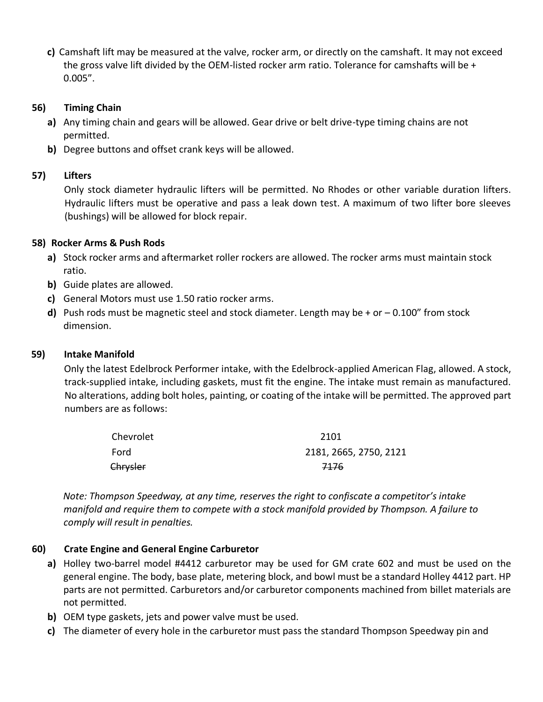**c)** Camshaft lift may be measured at the valve, rocker arm, or directly on the camshaft. It may not exceed the gross valve lift divided by the OEM-listed rocker arm ratio. Tolerance for camshafts will be + 0.005".

### **56) Timing Chain**

- **a)** Any timing chain and gears will be allowed. Gear drive or belt drive-type timing chains are not permitted.
- **b)** Degree buttons and offset crank keys will be allowed.

### **57) Lifters**

Only stock diameter hydraulic lifters will be permitted. No Rhodes or other variable duration lifters. Hydraulic lifters must be operative and pass a leak down test. A maximum of two lifter bore sleeves (bushings) will be allowed for block repair.

### **58) Rocker Arms & Push Rods**

- **a)** Stock rocker arms and aftermarket roller rockers are allowed. The rocker arms must maintain stock ratio.
- **b)** Guide plates are allowed.
- **c)** General Motors must use 1.50 ratio rocker arms.
- **d)** Push rods must be magnetic steel and stock diameter. Length may be + or 0.100" from stock dimension.

#### **59) Intake Manifold**

Only the latest Edelbrock Performer intake, with the Edelbrock-applied American Flag, allowed. A stock, track-supplied intake, including gaskets, must fit the engine. The intake must remain as manufactured. No alterations, adding bolt holes, painting, or coating of the intake will be permitted. The approved part numbers are as follows:

| Chevrolet | 2101                   |
|-----------|------------------------|
| Ford      | 2181, 2665, 2750, 2121 |
| Chrysler  | 7176                   |

*Note: Thompson Speedway, at any time, reserves the right to confiscate a competitor's intake manifold and require them to compete with a stock manifold provided by Thompson. A failure to comply will result in penalties.*

## **60) Crate Engine and General Engine Carburetor**

- **a)** Holley two-barrel model #4412 carburetor may be used for GM crate 602 and must be used on the general engine. The body, base plate, metering block, and bowl must be a standard Holley 4412 part. HP parts are not permitted. Carburetors and/or carburetor components machined from billet materials are not permitted.
- **b)** OEM type gaskets, jets and power valve must be used.
- **c)** The diameter of every hole in the carburetor must pass the standard Thompson Speedway pin and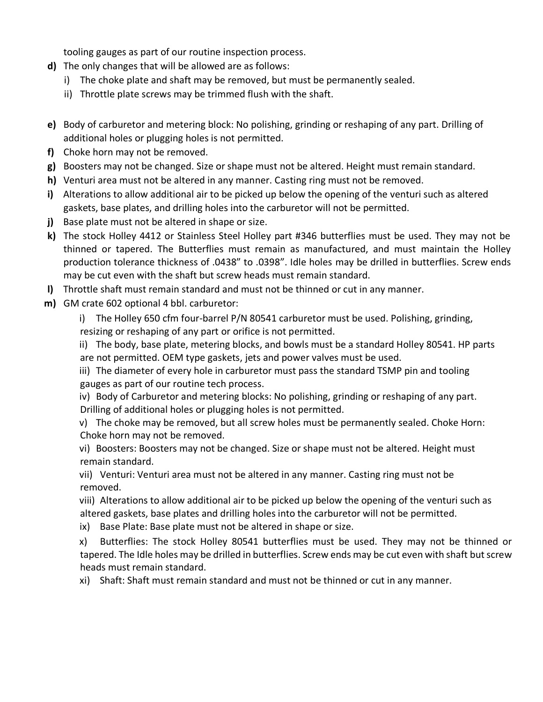tooling gauges as part of our routine inspection process.

- **d)** The only changes that will be allowed are as follows:
	- i) The choke plate and shaft may be removed, but must be permanently sealed.
	- ii) Throttle plate screws may be trimmed flush with the shaft.
- **e)** Body of carburetor and metering block: No polishing, grinding or reshaping of any part. Drilling of additional holes or plugging holes is not permitted.
- **f)** Choke horn may not be removed.
- **g)** Boosters may not be changed. Size or shape must not be altered. Height must remain standard.
- **h)** Venturi area must not be altered in any manner. Casting ring must not be removed.
- **i)** Alterations to allow additional air to be picked up below the opening of the venturi such as altered gaskets, base plates, and drilling holes into the carburetor will not be permitted.
- **j)** Base plate must not be altered in shape or size.
- **k)** The stock Holley 4412 or Stainless Steel Holley part #346 butterflies must be used. They may not be thinned or tapered. The Butterflies must remain as manufactured, and must maintain the Holley production tolerance thickness of .0438" to .0398". Idle holes may be drilled in butterflies. Screw ends may be cut even with the shaft but screw heads must remain standard.
- **l)** Throttle shaft must remain standard and must not be thinned or cut in any manner.
- **m)** GM crate 602 optional 4 bbl. carburetor:
	- i) The Holley 650 cfm four-barrel P/N 80541 carburetor must be used. Polishing, grinding, resizing or reshaping of any part or orifice is not permitted.

ii) The body, base plate, metering blocks, and bowls must be a standard Holley 80541. HP parts are not permitted. OEM type gaskets, jets and power valves must be used.

iii) The diameter of every hole in carburetor must pass the standard TSMP pin and tooling gauges as part of our routine tech process.

iv) Body of Carburetor and metering blocks: No polishing, grinding or reshaping of any part. Drilling of additional holes or plugging holes is not permitted.

v) The choke may be removed, but all screw holes must be permanently sealed. Choke Horn: Choke horn may not be removed.

vi) Boosters: Boosters may not be changed. Size or shape must not be altered. Height must remain standard.

vii) Venturi: Venturi area must not be altered in any manner. Casting ring must not be removed.

viii) Alterations to allow additional air to be picked up below the opening of the venturi such as altered gaskets, base plates and drilling holes into the carburetor will not be permitted.

ix) Base Plate: Base plate must not be altered in shape or size.

x) Butterflies: The stock Holley 80541 butterflies must be used. They may not be thinned or tapered. The Idle holes may be drilled in butterflies. Screw ends may be cut even with shaft but screw heads must remain standard.

xi) Shaft: Shaft must remain standard and must not be thinned or cut in any manner.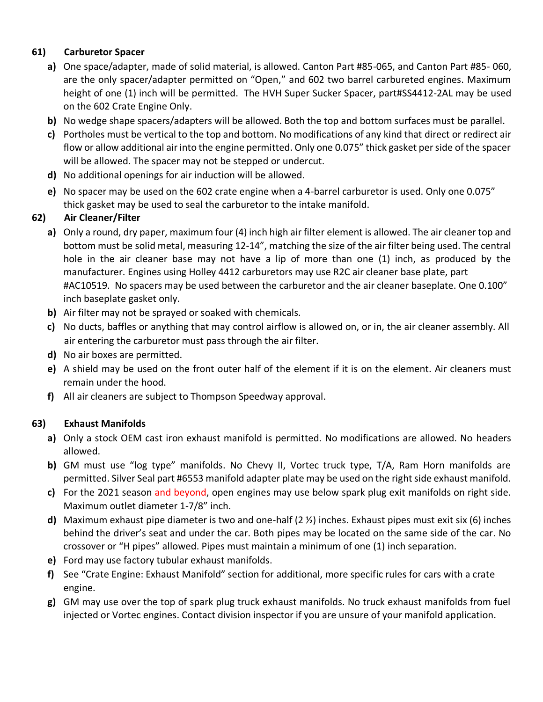# **61) Carburetor Spacer**

- **a)** One space/adapter, made of solid material, is allowed. Canton Part #85-065, and Canton Part #85- 060, are the only spacer/adapter permitted on "Open," and 602 two barrel carbureted engines. Maximum height of one (1) inch will be permitted. The HVH Super Sucker Spacer, part#SS4412-2AL may be used on the 602 Crate Engine Only.
- **b)** No wedge shape spacers/adapters will be allowed. Both the top and bottom surfaces must be parallel.
- **c)** Portholes must be vertical to the top and bottom. No modifications of any kind that direct or redirect air flow or allow additional air into the engine permitted. Only one 0.075" thick gasket per side of the spacer will be allowed. The spacer may not be stepped or undercut.
- **d)** No additional openings for air induction will be allowed.
- **e)** No spacer may be used on the 602 crate engine when a 4-barrel carburetor is used. Only one 0.075" thick gasket may be used to seal the carburetor to the intake manifold.

# **62) Air Cleaner/Filter**

- **a)** Only a round, dry paper, maximum four (4) inch high air filter element is allowed. The air cleaner top and bottom must be solid metal, measuring 12-14", matching the size of the air filter being used. The central hole in the air cleaner base may not have a lip of more than one (1) inch, as produced by the manufacturer. Engines using Holley 4412 carburetors may use R2C air cleaner base plate, part #AC10519. No spacers may be used between the carburetor and the air cleaner baseplate. One 0.100" inch baseplate gasket only.
- **b)** Air filter may not be sprayed or soaked with chemicals.
- **c)** No ducts, baffles or anything that may control airflow is allowed on, or in, the air cleaner assembly. All air entering the carburetor must pass through the air filter.
- **d)** No air boxes are permitted.
- **e)** A shield may be used on the front outer half of the element if it is on the element. Air cleaners must remain under the hood.
- **f)** All air cleaners are subject to Thompson Speedway approval.

# **63) Exhaust Manifolds**

- **a)** Only a stock OEM cast iron exhaust manifold is permitted. No modifications are allowed. No headers allowed.
- **b)** GM must use "log type" manifolds. No Chevy II, Vortec truck type, T/A, Ram Horn manifolds are permitted. Silver Seal part #6553 manifold adapter plate may be used on the right side exhaust manifold.
- **c)** For the 2021 season and beyond, open engines may use below spark plug exit manifolds on right side. Maximum outlet diameter 1-7/8" inch.
- **d)** Maximum exhaust pipe diameter is two and one-half (2 ½) inches. Exhaust pipes must exit six (6) inches behind the driver's seat and under the car. Both pipes may be located on the same side of the car. No crossover or "H pipes" allowed. Pipes must maintain a minimum of one (1) inch separation.
- **e)** Ford may use factory tubular exhaust manifolds.
- **f)** See "Crate Engine: Exhaust Manifold" section for additional, more specific rules for cars with a crate engine.
- **g)** GM may use over the top of spark plug truck exhaust manifolds. No truck exhaust manifolds from fuel injected or Vortec engines. Contact division inspector if you are unsure of your manifold application.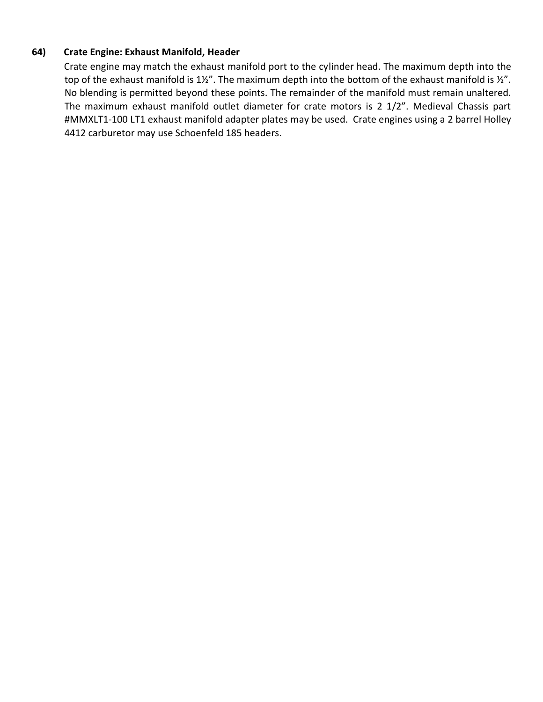### **64) Crate Engine: Exhaust Manifold, Header**

Crate engine may match the exhaust manifold port to the cylinder head. The maximum depth into the top of the exhaust manifold is 1½". The maximum depth into the bottom of the exhaust manifold is ½". No blending is permitted beyond these points. The remainder of the manifold must remain unaltered. The maximum exhaust manifold outlet diameter for crate motors is 2 1/2". Medieval Chassis part #MMXLT1-100 LT1 exhaust manifold adapter plates may be used. Crate engines using a 2 barrel Holley 4412 carburetor may use Schoenfeld 185 headers.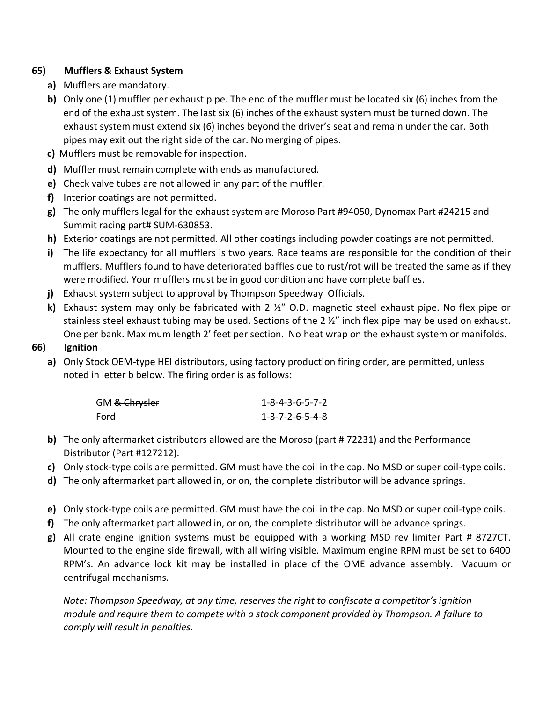## **65) Mufflers & Exhaust System**

- **a)** Mufflers are mandatory.
- **b)** Only one (1) muffler per exhaust pipe. The end of the muffler must be located six (6) inches from the end of the exhaust system. The last six (6) inches of the exhaust system must be turned down. The exhaust system must extend six (6) inches beyond the driver's seat and remain under the car. Both pipes may exit out the right side of the car. No merging of pipes.
- **c)** Mufflers must be removable for inspection.
- **d)** Muffler must remain complete with ends as manufactured.
- **e)** Check valve tubes are not allowed in any part of the muffler.
- **f)** Interior coatings are not permitted.
- **g)** The only mufflers legal for the exhaust system are Moroso Part #94050, Dynomax Part #24215 and Summit racing part# SUM-630853.
- **h)** Exterior coatings are not permitted. All other coatings including powder coatings are not permitted.
- **i)** The life expectancy for all mufflers is two years. Race teams are responsible for the condition of their mufflers. Mufflers found to have deteriorated baffles due to rust/rot will be treated the same as if they were modified. Your mufflers must be in good condition and have complete baffles.
- **j)** Exhaust system subject to approval by Thompson Speedway Officials.
- **k)** Exhaust system may only be fabricated with 2 ½" O.D. magnetic steel exhaust pipe. No flex pipe or stainless steel exhaust tubing may be used. Sections of the 2 ½" inch flex pipe may be used on exhaust. One per bank. Maximum length 2' feet per section. No heat wrap on the exhaust system or manifolds.

### **66) Ignition**

**a)** Only Stock OEM-type HEI distributors, using factory production firing order, are permitted, unless noted in letter b below. The firing order is as follows:

| GM <del>&amp; Chrysler</del> | $1 - 8 - 4 - 3 - 6 - 5 - 7 - 2$ |
|------------------------------|---------------------------------|
| Ford                         | $1 - 3 - 7 - 2 - 6 - 5 - 4 - 8$ |

- **b)** The only aftermarket distributors allowed are the Moroso (part # 72231) and the Performance Distributor (Part #127212).
- **c)** Only stock-type coils are permitted. GM must have the coil in the cap. No MSD or super coil-type coils.
- **d)** The only aftermarket part allowed in, or on, the complete distributor will be advance springs.
- **e)** Only stock-type coils are permitted. GM must have the coil in the cap. No MSD or super coil-type coils.
- **f)** The only aftermarket part allowed in, or on, the complete distributor will be advance springs.
- **g)** All crate engine ignition systems must be equipped with a working MSD rev limiter Part # 8727CT. Mounted to the engine side firewall, with all wiring visible. Maximum engine RPM must be set to 6400 RPM's. An advance lock kit may be installed in place of the OME advance assembly. Vacuum or centrifugal mechanisms.

*Note: Thompson Speedway, at any time, reserves the right to confiscate a competitor's ignition module and require them to compete with a stock component provided by Thompson. A failure to comply will result in penalties.*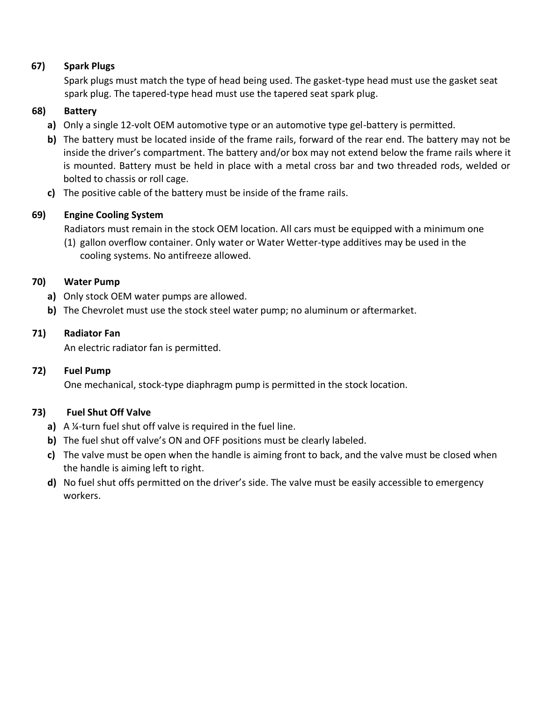# **67) Spark Plugs**

Spark plugs must match the type of head being used. The gasket-type head must use the gasket seat spark plug. The tapered-type head must use the tapered seat spark plug.

## **68) Battery**

- **a)** Only a single 12-volt OEM automotive type or an automotive type gel-battery is permitted.
- **b)** The battery must be located inside of the frame rails, forward of the rear end. The battery may not be inside the driver's compartment. The battery and/or box may not extend below the frame rails where it is mounted. Battery must be held in place with a metal cross bar and two threaded rods, welded or bolted to chassis or roll cage.
- **c)** The positive cable of the battery must be inside of the frame rails.

# **69) Engine Cooling System**

Radiators must remain in the stock OEM location. All cars must be equipped with a minimum one

(1) gallon overflow container. Only water or Water Wetter-type additives may be used in the cooling systems. No antifreeze allowed.

## **70) Water Pump**

- **a)** Only stock OEM water pumps are allowed.
- **b)** The Chevrolet must use the stock steel water pump; no aluminum or aftermarket.

## **71) Radiator Fan**

An electric radiator fan is permitted.

## **72) Fuel Pump**

One mechanical, stock-type diaphragm pump is permitted in the stock location.

## **73) Fuel Shut Off Valve**

- **a)** A ¼-turn fuel shut off valve is required in the fuel line.
- **b)** The fuel shut off valve's ON and OFF positions must be clearly labeled.
- **c)** The valve must be open when the handle is aiming front to back, and the valve must be closed when the handle is aiming left to right.
- **d)** No fuel shut offs permitted on the driver's side. The valve must be easily accessible to emergency workers.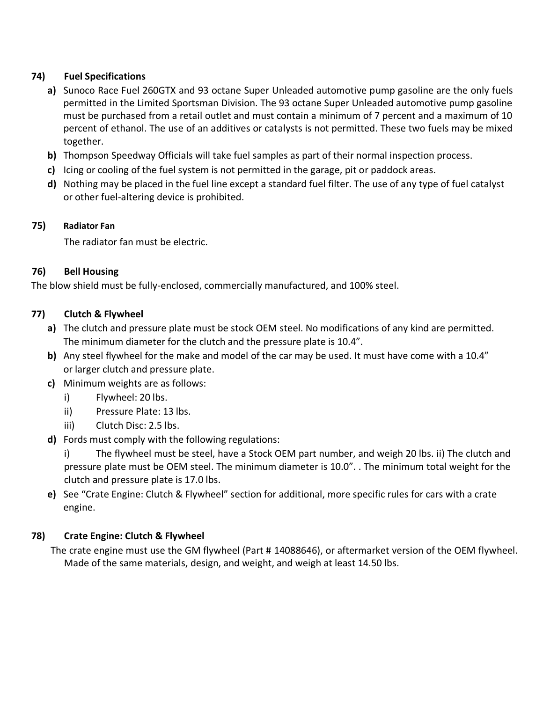# **74) Fuel Specifications**

- **a)** Sunoco Race Fuel 260GTX and 93 octane Super Unleaded automotive pump gasoline are the only fuels permitted in the Limited Sportsman Division. The 93 octane Super Unleaded automotive pump gasoline must be purchased from a retail outlet and must contain a minimum of 7 percent and a maximum of 10 percent of ethanol. The use of an additives or catalysts is not permitted. These two fuels may be mixed together.
- **b)** Thompson Speedway Officials will take fuel samples as part of their normal inspection process.
- **c)** Icing or cooling of the fuel system is not permitted in the garage, pit or paddock areas.
- **d)** Nothing may be placed in the fuel line except a standard fuel filter. The use of any type of fuel catalyst or other fuel-altering device is prohibited.

# **75) Radiator Fan**

The radiator fan must be electric.

# **76) Bell Housing**

The blow shield must be fully-enclosed, commercially manufactured, and 100% steel.

# **77) Clutch & Flywheel**

- **a)** The clutch and pressure plate must be stock OEM steel. No modifications of any kind are permitted. The minimum diameter for the clutch and the pressure plate is 10.4".
- **b)** Any steel flywheel for the make and model of the car may be used. It must have come with a 10.4" or larger clutch and pressure plate.
- **c)** Minimum weights are as follows:
	- i) Flywheel: 20 lbs.
	- ii) Pressure Plate: 13 lbs.
	- iii) Clutch Disc: 2.5 lbs.
- **d)** Fords must comply with the following regulations:

i) The flywheel must be steel, have a Stock OEM part number, and weigh 20 lbs. ii) The clutch and pressure plate must be OEM steel. The minimum diameter is 10.0". . The minimum total weight for the clutch and pressure plate is 17.0 lbs.

**e)** See "Crate Engine: Clutch & Flywheel" section for additional, more specific rules for cars with a crate engine.

# **78) Crate Engine: Clutch & Flywheel**

The crate engine must use the GM flywheel (Part # 14088646), or aftermarket version of the OEM flywheel. Made of the same materials, design, and weight, and weigh at least 14.50 lbs.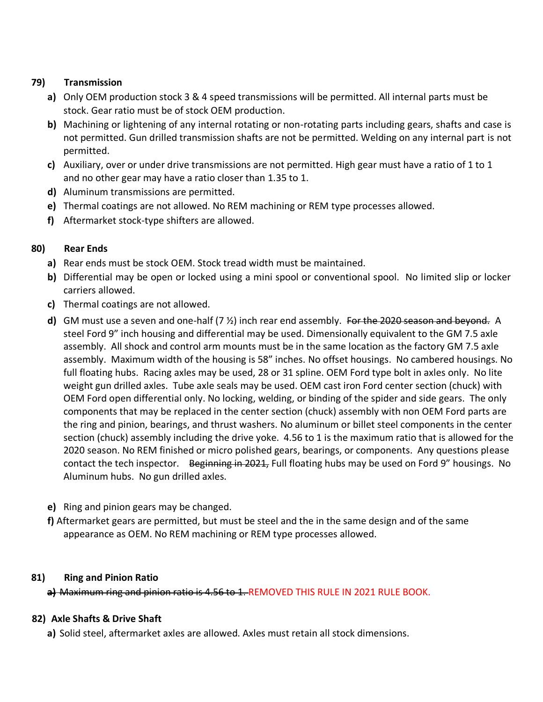## **79) Transmission**

- **a)** Only OEM production stock 3 & 4 speed transmissions will be permitted. All internal parts must be stock. Gear ratio must be of stock OEM production.
- **b)** Machining or lightening of any internal rotating or non-rotating parts including gears, shafts and case is not permitted. Gun drilled transmission shafts are not be permitted. Welding on any internal part is not permitted.
- **c)** Auxiliary, over or under drive transmissions are not permitted. High gear must have a ratio of 1 to 1 and no other gear may have a ratio closer than 1.35 to 1.
- **d)** Aluminum transmissions are permitted.
- **e)** Thermal coatings are not allowed. No REM machining or REM type processes allowed.
- **f)** Aftermarket stock-type shifters are allowed.

# **80) Rear Ends**

- **a)** Rear ends must be stock OEM. Stock tread width must be maintained.
- **b)** Differential may be open or locked using a mini spool or conventional spool. No limited slip or locker carriers allowed.
- **c)** Thermal coatings are not allowed.
- **d)** GM must use a seven and one-half (7 ½) inch rear end assembly. For the 2020 season and beyond. A steel Ford 9" inch housing and differential may be used. Dimensionally equivalent to the GM 7.5 axle assembly. All shock and control arm mounts must be in the same location as the factory GM 7.5 axle assembly. Maximum width of the housing is 58" inches. No offset housings. No cambered housings. No full floating hubs. Racing axles may be used, 28 or 31 spline. OEM Ford type bolt in axles only. No lite weight gun drilled axles. Tube axle seals may be used. OEM cast iron Ford center section (chuck) with OEM Ford open differential only. No locking, welding, or binding of the spider and side gears. The only components that may be replaced in the center section (chuck) assembly with non OEM Ford parts are the ring and pinion, bearings, and thrust washers. No aluminum or billet steel components in the center section (chuck) assembly including the drive yoke. 4.56 to 1 is the maximum ratio that is allowed for the 2020 season. No REM finished or micro polished gears, bearings, or components. Any questions please contact the tech inspector. Beginning in 2021, Full floating hubs may be used on Ford 9" housings. No Aluminum hubs. No gun drilled axles.
- **e)** Ring and pinion gears may be changed.
- **f)** Aftermarket gears are permitted, but must be steel and the in the same design and of the same appearance as OEM. No REM machining or REM type processes allowed.

## **81) Ring and Pinion Ratio**

**a)** Maximum ring and pinion ratio is 4.56 to 1. REMOVED THIS RULE IN 2021 RULE BOOK.

# **82) Axle Shafts & Drive Shaft**

**a)** Solid steel, aftermarket axles are allowed. Axles must retain all stock dimensions.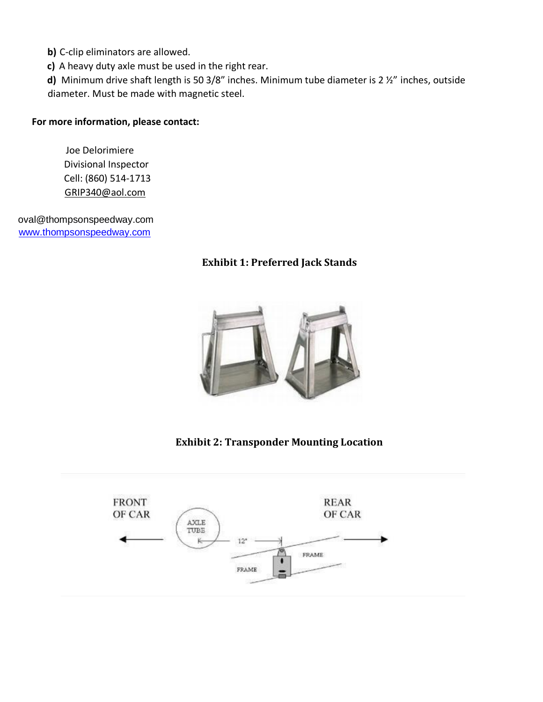**b)** C-clip eliminators are allowed.

**c)** A heavy duty axle must be used in the right rear.

**d)** Minimum drive shaft length is 50 3/8" inches. Minimum tube diameter is 2 ½" inches, outside diameter. Must be made with magnetic steel.

#### **For more information, please contact:**

Joe Delorimiere Divisional Inspector Cell: (860) 514-1713 [GRIP340@aol.com](mailto:GRIP340@aol.com)

oval@thompsonspeedway.com [www.thompsonspeedway.com](http://www.thompsonspeedway.com/)

# **Exhibit 1: Preferred Jack Stands**



**Exhibit 2: Transponder Mounting Location**

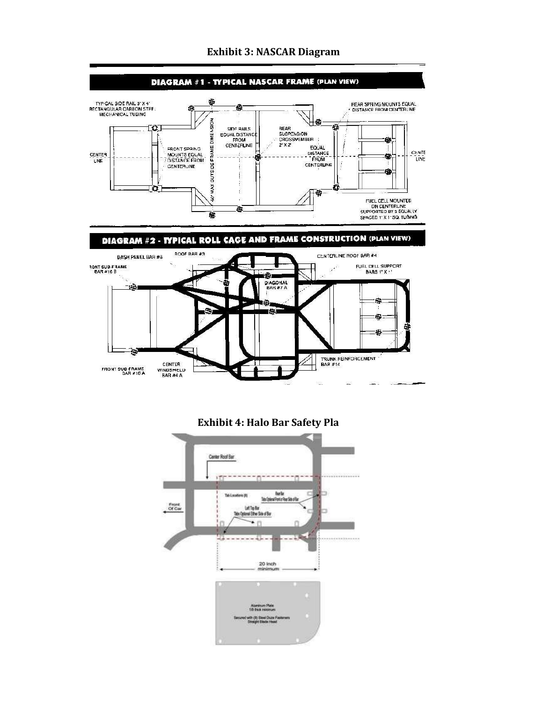

### **Exhibit 3: NASCAR Diagram**

**Exhibit 4: Halo Bar Safety Pla**